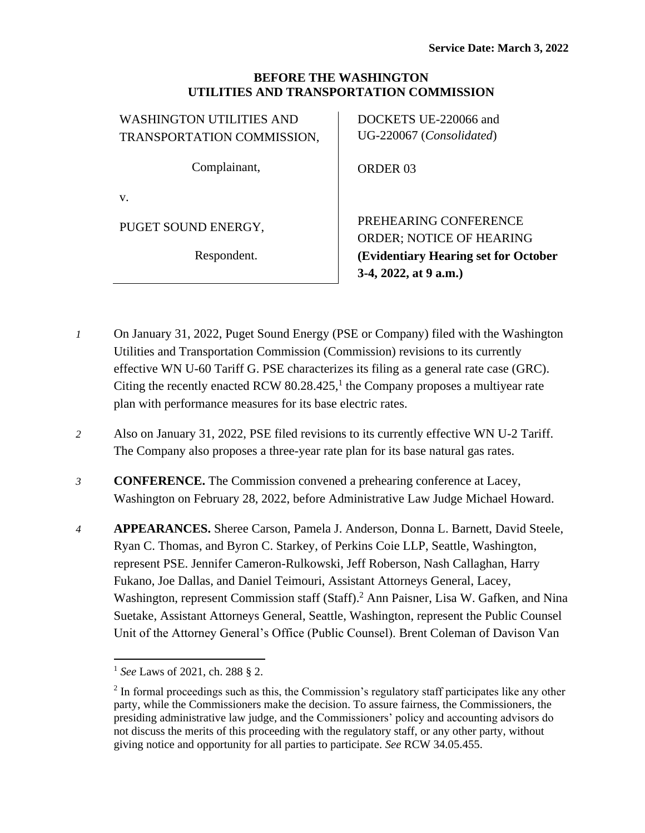#### **BEFORE THE WASHINGTON UTILITIES AND TRANSPORTATION COMMISSION**

WASHINGTON UTILITIES AND TRANSPORTATION COMMISSION,

Complainant,

v.

PUGET SOUND ENERGY,

Respondent.

DOCKETS UE-220066 and UG-220067 (*Consolidated*)

ORDER 03

PREHEARING CONFERENCE ORDER; NOTICE OF HEARING **(Evidentiary Hearing set for October 3-4, 2022, at 9 a.m.)**

- *1* On January 31, 2022, Puget Sound Energy (PSE or Company) filed with the Washington Utilities and Transportation Commission (Commission) revisions to its currently effective WN U-60 Tariff G. PSE characterizes its filing as a general rate case (GRC). Citing the recently enacted RCW  $80.28.425$ ,<sup>1</sup> the Company proposes a multiyear rate plan with performance measures for its base electric rates.
- *2* Also on January 31, 2022, PSE filed revisions to its currently effective WN U-2 Tariff. The Company also proposes a three-year rate plan for its base natural gas rates.
- *3* **CONFERENCE.** The Commission convened a prehearing conference at Lacey, Washington on February 28, 2022, before Administrative Law Judge Michael Howard.
- *4* **APPEARANCES.** Sheree Carson, Pamela J. Anderson, Donna L. Barnett, David Steele, Ryan C. Thomas, and Byron C. Starkey, of Perkins Coie LLP, Seattle, Washington, represent PSE. Jennifer Cameron-Rulkowski, Jeff Roberson, Nash Callaghan, Harry Fukano, Joe Dallas, and Daniel Teimouri, Assistant Attorneys General, Lacey, Washington, represent Commission staff (Staff). <sup>2</sup> Ann Paisner, Lisa W. Gafken, and Nina Suetake, Assistant Attorneys General, Seattle, Washington, represent the Public Counsel Unit of the Attorney General's Office (Public Counsel). Brent Coleman of Davison Van

<sup>1</sup> *See* Laws of 2021, ch. 288 § 2.

 $2$  In formal proceedings such as this, the Commission's regulatory staff participates like any other party, while the Commissioners make the decision. To assure fairness, the Commissioners, the presiding administrative law judge, and the Commissioners' policy and accounting advisors do not discuss the merits of this proceeding with the regulatory staff, or any other party, without giving notice and opportunity for all parties to participate. *See* RCW 34.05.455.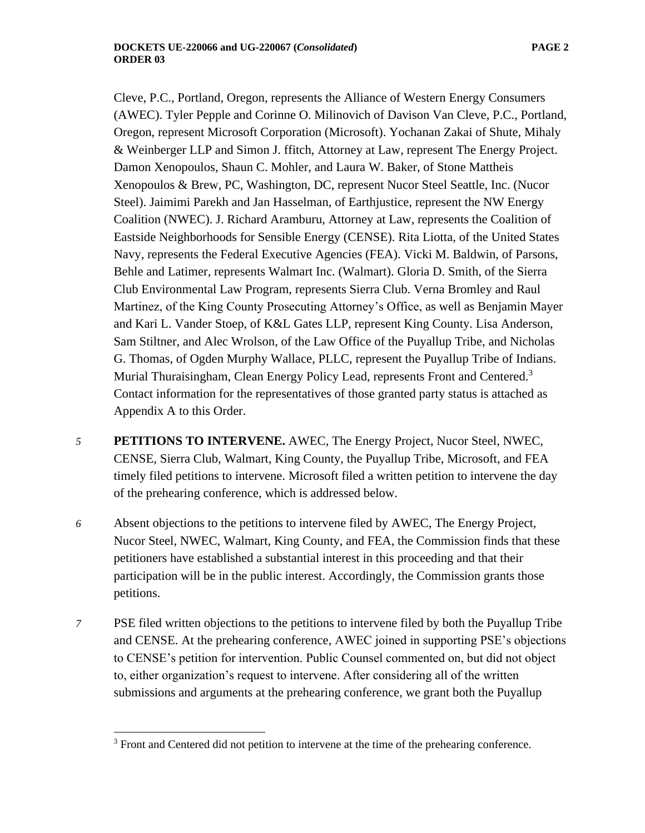Cleve, P.C., Portland, Oregon, represents the Alliance of Western Energy Consumers (AWEC). Tyler Pepple and Corinne O. Milinovich of Davison Van Cleve, P.C., Portland, Oregon, represent Microsoft Corporation (Microsoft). Yochanan Zakai of Shute, Mihaly & Weinberger LLP and Simon J. ffitch, Attorney at Law, represent The Energy Project. Damon Xenopoulos, Shaun C. Mohler, and Laura W. Baker, of Stone Mattheis Xenopoulos & Brew, PC, Washington, DC, represent Nucor Steel Seattle, Inc. (Nucor Steel). Jaimimi Parekh and Jan Hasselman, of Earthjustice, represent the NW Energy Coalition (NWEC). J. Richard Aramburu, Attorney at Law, represents the Coalition of Eastside Neighborhoods for Sensible Energy (CENSE). Rita Liotta, of the United States Navy, represents the Federal Executive Agencies (FEA). Vicki M. Baldwin, of Parsons, Behle and Latimer, represents Walmart Inc. (Walmart). Gloria D. Smith, of the Sierra Club Environmental Law Program, represents Sierra Club. Verna Bromley and Raul Martinez, of the King County Prosecuting Attorney's Office, as well as Benjamin Mayer and Kari L. Vander Stoep, of K&L Gates LLP, represent King County. Lisa Anderson, Sam Stiltner, and Alec Wrolson, of the Law Office of the Puyallup Tribe, and Nicholas G. Thomas, of Ogden Murphy Wallace, PLLC, represent the Puyallup Tribe of Indians. Murial Thuraisingham, Clean Energy Policy Lead, represents Front and Centered.<sup>3</sup> Contact information for the representatives of those granted party status is attached as Appendix A to this Order.

- *5* **PETITIONS TO INTERVENE.** AWEC, The Energy Project, Nucor Steel, NWEC, CENSE, Sierra Club, Walmart, King County, the Puyallup Tribe, Microsoft, and FEA timely filed petitions to intervene. Microsoft filed a written petition to intervene the day of the prehearing conference, which is addressed below.
- *6* Absent objections to the petitions to intervene filed by AWEC, The Energy Project, Nucor Steel, NWEC, Walmart, King County, and FEA, the Commission finds that these petitioners have established a substantial interest in this proceeding and that their participation will be in the public interest. Accordingly, the Commission grants those petitions.
- *7* PSE filed written objections to the petitions to intervene filed by both the Puyallup Tribe and CENSE. At the prehearing conference, AWEC joined in supporting PSE's objections to CENSE's petition for intervention. Public Counsel commented on, but did not object to, either organization's request to intervene. After considering all of the written submissions and arguments at the prehearing conference, we grant both the Puyallup

<sup>&</sup>lt;sup>3</sup> Front and Centered did not petition to intervene at the time of the prehearing conference.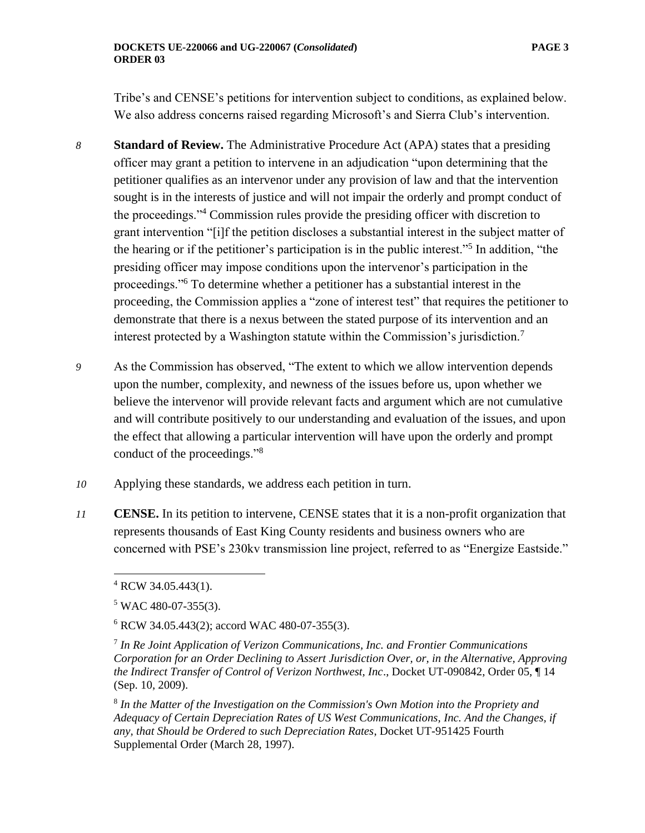Tribe's and CENSE's petitions for intervention subject to conditions, as explained below. We also address concerns raised regarding Microsoft's and Sierra Club's intervention.

- *8* **Standard of Review.** The Administrative Procedure Act (APA) states that a presiding officer may grant a petition to intervene in an adjudication "upon determining that the petitioner qualifies as an intervenor under any provision of law and that the intervention sought is in the interests of justice and will not impair the orderly and prompt conduct of the proceedings."<sup>4</sup> Commission rules provide the presiding officer with discretion to grant intervention "[i]f the petition discloses a substantial interest in the subject matter of the hearing or if the petitioner's participation is in the public interest."<sup>5</sup> In addition, "the presiding officer may impose conditions upon the intervenor's participation in the proceedings."<sup>6</sup> To determine whether a petitioner has a substantial interest in the proceeding, the Commission applies a "zone of interest test" that requires the petitioner to demonstrate that there is a nexus between the stated purpose of its intervention and an interest protected by a Washington statute within the Commission's jurisdiction.<sup>7</sup>
- *9* As the Commission has observed, "The extent to which we allow intervention depends upon the number, complexity, and newness of the issues before us, upon whether we believe the intervenor will provide relevant facts and argument which are not cumulative and will contribute positively to our understanding and evaluation of the issues, and upon the effect that allowing a particular intervention will have upon the orderly and prompt conduct of the proceedings."<sup>8</sup>
- *10* Applying these standards, we address each petition in turn.
- *11* **CENSE.** In its petition to intervene, CENSE states that it is a non-profit organization that represents thousands of East King County residents and business owners who are concerned with PSE's 230kv transmission line project, referred to as "Energize Eastside."

 $4$  RCW 34.05.443(1).

 $5$  WAC 480-07-355(3).

<sup>6</sup> RCW 34.05.443(2); accord WAC 480-07-355(3).

<sup>7</sup> *In Re Joint Application of Verizon Communications, Inc. and Frontier Communications Corporation for an Order Declining to Assert Jurisdiction Over, or, in the Alternative, Approving the Indirect Transfer of Control of Verizon Northwest, Inc*., Docket UT-090842, Order 05, ¶ 14 (Sep. 10, 2009).

<sup>8</sup> *In the Matter of the Investigation on the Commission's Own Motion into the Propriety and Adequacy of Certain Depreciation Rates of US West Communications, Inc. And the Changes, if any, that Should be Ordered to such Depreciation Rates*, Docket UT-951425 Fourth Supplemental Order (March 28, 1997).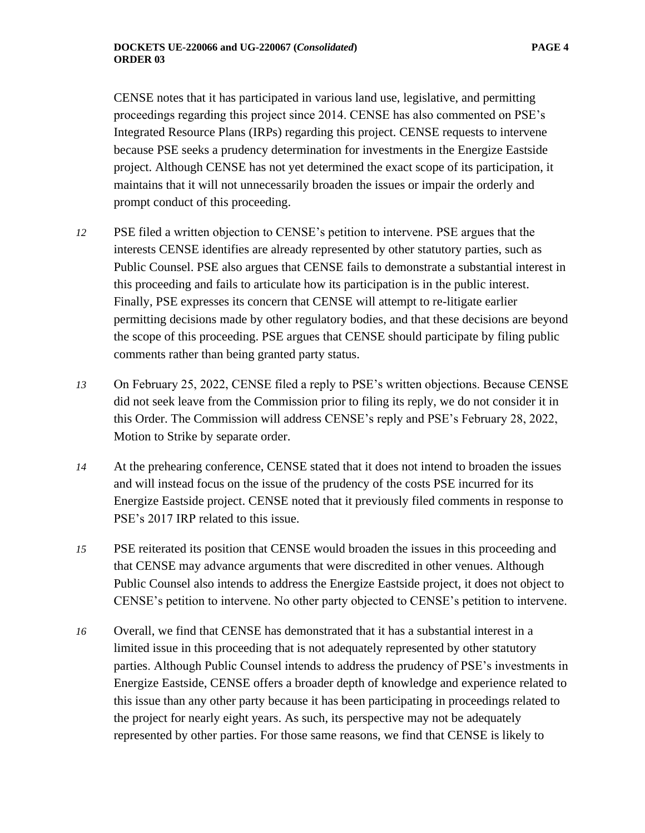CENSE notes that it has participated in various land use, legislative, and permitting proceedings regarding this project since 2014. CENSE has also commented on PSE's Integrated Resource Plans (IRPs) regarding this project. CENSE requests to intervene because PSE seeks a prudency determination for investments in the Energize Eastside project. Although CENSE has not yet determined the exact scope of its participation, it maintains that it will not unnecessarily broaden the issues or impair the orderly and prompt conduct of this proceeding.

- *12* PSE filed a written objection to CENSE's petition to intervene. PSE argues that the interests CENSE identifies are already represented by other statutory parties, such as Public Counsel. PSE also argues that CENSE fails to demonstrate a substantial interest in this proceeding and fails to articulate how its participation is in the public interest. Finally, PSE expresses its concern that CENSE will attempt to re-litigate earlier permitting decisions made by other regulatory bodies, and that these decisions are beyond the scope of this proceeding. PSE argues that CENSE should participate by filing public comments rather than being granted party status.
- *13* On February 25, 2022, CENSE filed a reply to PSE's written objections. Because CENSE did not seek leave from the Commission prior to filing its reply, we do not consider it in this Order. The Commission will address CENSE's reply and PSE's February 28, 2022, Motion to Strike by separate order.
- *14* At the prehearing conference, CENSE stated that it does not intend to broaden the issues and will instead focus on the issue of the prudency of the costs PSE incurred for its Energize Eastside project. CENSE noted that it previously filed comments in response to PSE's 2017 IRP related to this issue.
- *15* PSE reiterated its position that CENSE would broaden the issues in this proceeding and that CENSE may advance arguments that were discredited in other venues. Although Public Counsel also intends to address the Energize Eastside project, it does not object to CENSE's petition to intervene. No other party objected to CENSE's petition to intervene.
- *16* Overall, we find that CENSE has demonstrated that it has a substantial interest in a limited issue in this proceeding that is not adequately represented by other statutory parties. Although Public Counsel intends to address the prudency of PSE's investments in Energize Eastside, CENSE offers a broader depth of knowledge and experience related to this issue than any other party because it has been participating in proceedings related to the project for nearly eight years. As such, its perspective may not be adequately represented by other parties. For those same reasons, we find that CENSE is likely to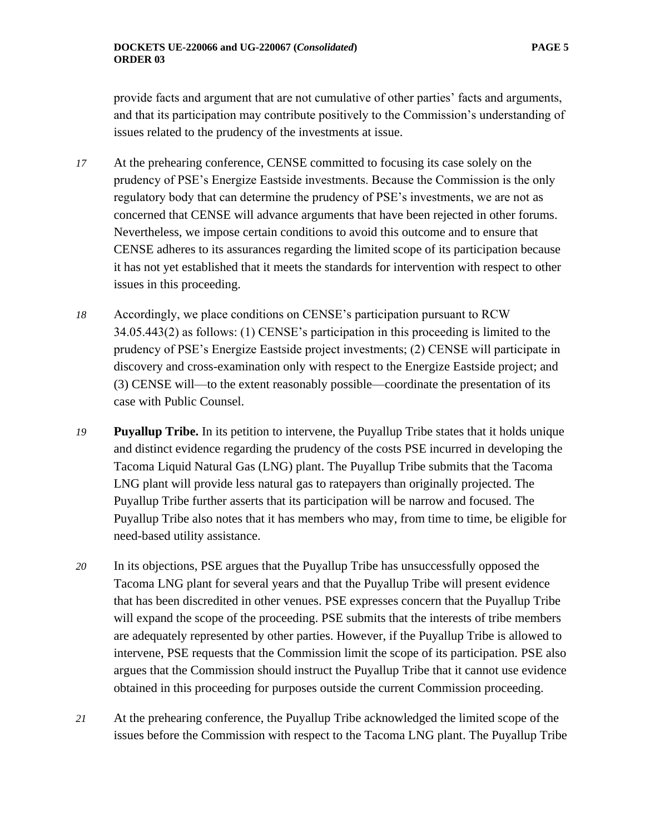provide facts and argument that are not cumulative of other parties' facts and arguments, and that its participation may contribute positively to the Commission's understanding of issues related to the prudency of the investments at issue.

- *17* At the prehearing conference, CENSE committed to focusing its case solely on the prudency of PSE's Energize Eastside investments. Because the Commission is the only regulatory body that can determine the prudency of PSE's investments, we are not as concerned that CENSE will advance arguments that have been rejected in other forums. Nevertheless, we impose certain conditions to avoid this outcome and to ensure that CENSE adheres to its assurances regarding the limited scope of its participation because it has not yet established that it meets the standards for intervention with respect to other issues in this proceeding.
- *18* Accordingly, we place conditions on CENSE's participation pursuant to RCW 34.05.443(2) as follows: (1) CENSE's participation in this proceeding is limited to the prudency of PSE's Energize Eastside project investments; (2) CENSE will participate in discovery and cross-examination only with respect to the Energize Eastside project; and (3) CENSE will—to the extent reasonably possible—coordinate the presentation of its case with Public Counsel.
- *19* **Puyallup Tribe.** In its petition to intervene, the Puyallup Tribe states that it holds unique and distinct evidence regarding the prudency of the costs PSE incurred in developing the Tacoma Liquid Natural Gas (LNG) plant. The Puyallup Tribe submits that the Tacoma LNG plant will provide less natural gas to ratepayers than originally projected. The Puyallup Tribe further asserts that its participation will be narrow and focused. The Puyallup Tribe also notes that it has members who may, from time to time, be eligible for need-based utility assistance.
- *20* In its objections, PSE argues that the Puyallup Tribe has unsuccessfully opposed the Tacoma LNG plant for several years and that the Puyallup Tribe will present evidence that has been discredited in other venues. PSE expresses concern that the Puyallup Tribe will expand the scope of the proceeding. PSE submits that the interests of tribe members are adequately represented by other parties. However, if the Puyallup Tribe is allowed to intervene, PSE requests that the Commission limit the scope of its participation. PSE also argues that the Commission should instruct the Puyallup Tribe that it cannot use evidence obtained in this proceeding for purposes outside the current Commission proceeding.
- *21* At the prehearing conference, the Puyallup Tribe acknowledged the limited scope of the issues before the Commission with respect to the Tacoma LNG plant. The Puyallup Tribe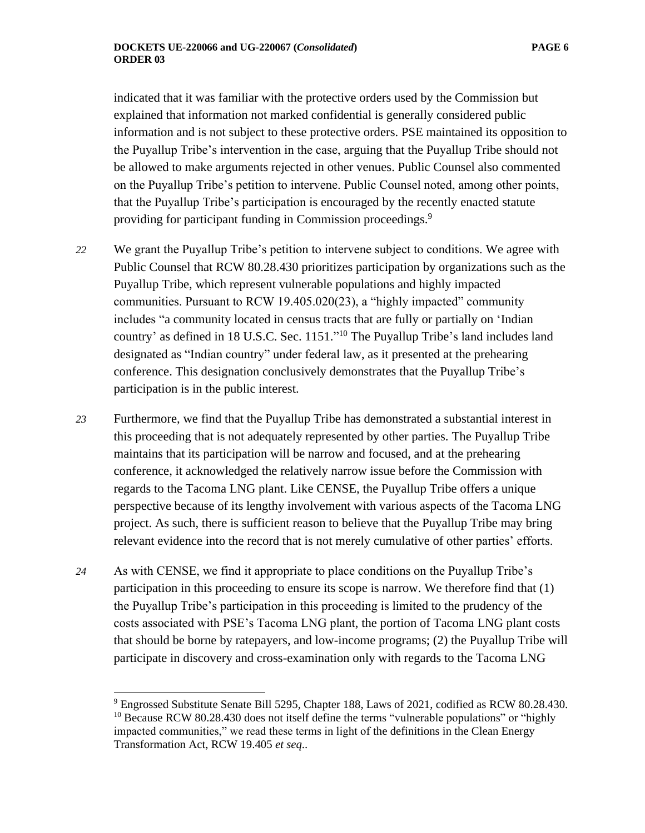indicated that it was familiar with the protective orders used by the Commission but explained that information not marked confidential is generally considered public information and is not subject to these protective orders. PSE maintained its opposition to the Puyallup Tribe's intervention in the case, arguing that the Puyallup Tribe should not be allowed to make arguments rejected in other venues. Public Counsel also commented on the Puyallup Tribe's petition to intervene. Public Counsel noted, among other points, that the Puyallup Tribe's participation is encouraged by the recently enacted statute providing for participant funding in Commission proceedings.<sup>9</sup>

*22* We grant the Puyallup Tribe's petition to intervene subject to conditions. We agree with Public Counsel that RCW 80.28.430 prioritizes participation by organizations such as the Puyallup Tribe, which represent vulnerable populations and highly impacted communities. Pursuant to RCW 19.405.020(23), a "highly impacted" community includes "a community located in census tracts that are fully or partially on 'Indian country' as defined in 18 U.S.C. Sec. 1151."<sup>10</sup> The Puyallup Tribe's land includes land designated as "Indian country" under federal law, as it presented at the prehearing conference. This designation conclusively demonstrates that the Puyallup Tribe's participation is in the public interest.

*23* Furthermore, we find that the Puyallup Tribe has demonstrated a substantial interest in this proceeding that is not adequately represented by other parties. The Puyallup Tribe maintains that its participation will be narrow and focused, and at the prehearing conference, it acknowledged the relatively narrow issue before the Commission with regards to the Tacoma LNG plant. Like CENSE, the Puyallup Tribe offers a unique perspective because of its lengthy involvement with various aspects of the Tacoma LNG project. As such, there is sufficient reason to believe that the Puyallup Tribe may bring relevant evidence into the record that is not merely cumulative of other parties' efforts.

*24* As with CENSE, we find it appropriate to place conditions on the Puyallup Tribe's participation in this proceeding to ensure its scope is narrow. We therefore find that (1) the Puyallup Tribe's participation in this proceeding is limited to the prudency of the costs associated with PSE's Tacoma LNG plant, the portion of Tacoma LNG plant costs that should be borne by ratepayers, and low-income programs; (2) the Puyallup Tribe will participate in discovery and cross-examination only with regards to the Tacoma LNG

<sup>9</sup> Engrossed Substitute Senate Bill 5295, Chapter 188, Laws of 2021, codified as RCW 80.28.430.  $10$  Because RCW 80.28.430 does not itself define the terms "vulnerable populations" or "highly impacted communities," we read these terms in light of the definitions in the Clean Energy Transformation Act, RCW 19.405 *et seq*..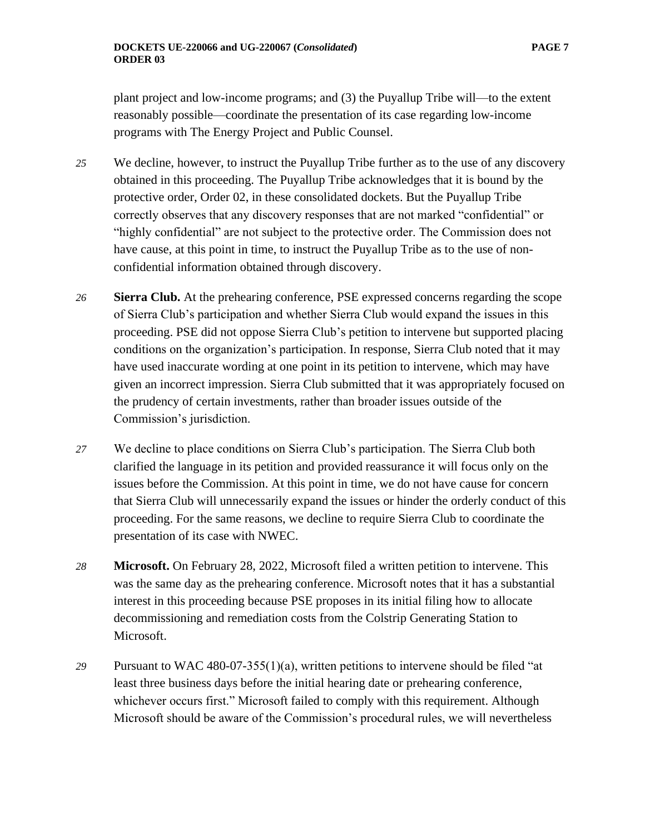plant project and low-income programs; and (3) the Puyallup Tribe will—to the extent reasonably possible—coordinate the presentation of its case regarding low-income programs with The Energy Project and Public Counsel.

- *25* We decline, however, to instruct the Puyallup Tribe further as to the use of any discovery obtained in this proceeding. The Puyallup Tribe acknowledges that it is bound by the protective order, Order 02, in these consolidated dockets. But the Puyallup Tribe correctly observes that any discovery responses that are not marked "confidential" or "highly confidential" are not subject to the protective order. The Commission does not have cause, at this point in time, to instruct the Puyallup Tribe as to the use of nonconfidential information obtained through discovery.
- *26* **Sierra Club.** At the prehearing conference, PSE expressed concerns regarding the scope of Sierra Club's participation and whether Sierra Club would expand the issues in this proceeding. PSE did not oppose Sierra Club's petition to intervene but supported placing conditions on the organization's participation. In response, Sierra Club noted that it may have used inaccurate wording at one point in its petition to intervene, which may have given an incorrect impression. Sierra Club submitted that it was appropriately focused on the prudency of certain investments, rather than broader issues outside of the Commission's jurisdiction.
- *27* We decline to place conditions on Sierra Club's participation. The Sierra Club both clarified the language in its petition and provided reassurance it will focus only on the issues before the Commission. At this point in time, we do not have cause for concern that Sierra Club will unnecessarily expand the issues or hinder the orderly conduct of this proceeding. For the same reasons, we decline to require Sierra Club to coordinate the presentation of its case with NWEC.
- *28* **Microsoft.** On February 28, 2022, Microsoft filed a written petition to intervene. This was the same day as the prehearing conference. Microsoft notes that it has a substantial interest in this proceeding because PSE proposes in its initial filing how to allocate decommissioning and remediation costs from the Colstrip Generating Station to Microsoft.
- *29* Pursuant to WAC 480-07-355(1)(a), written petitions to intervene should be filed "at least three business days before the initial hearing date or prehearing conference, whichever occurs first." Microsoft failed to comply with this requirement. Although Microsoft should be aware of the Commission's procedural rules, we will nevertheless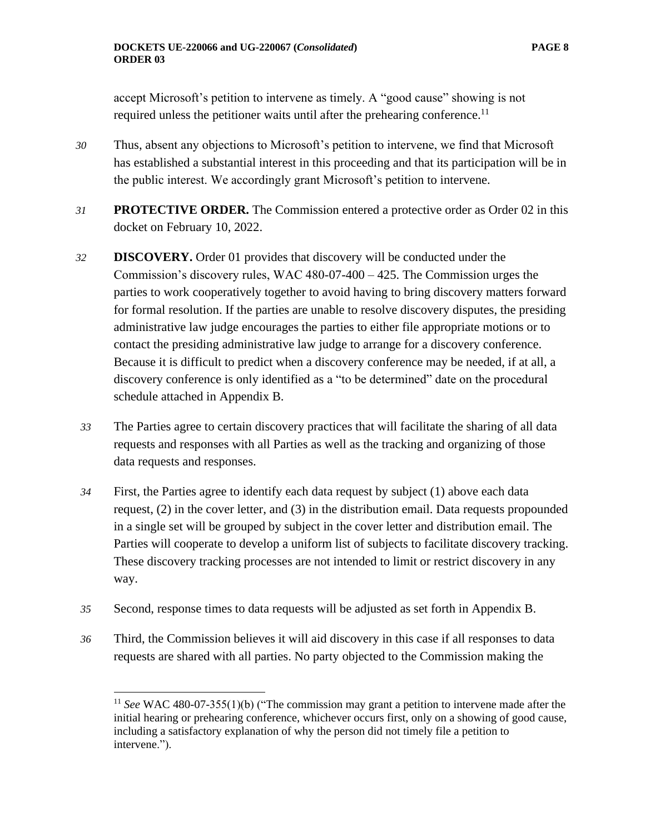accept Microsoft's petition to intervene as timely. A "good cause" showing is not required unless the petitioner waits until after the prehearing conference.<sup>11</sup>

- *30* Thus, absent any objections to Microsoft's petition to intervene, we find that Microsoft has established a substantial interest in this proceeding and that its participation will be in the public interest. We accordingly grant Microsoft's petition to intervene.
- *31* **PROTECTIVE ORDER.** The Commission entered a protective order as Order 02 in this docket on February 10, 2022.
- *32* **DISCOVERY.** Order 01 provides that discovery will be conducted under the Commission's discovery rules, WAC 480-07-400 – 425. The Commission urges the parties to work cooperatively together to avoid having to bring discovery matters forward for formal resolution. If the parties are unable to resolve discovery disputes, the presiding administrative law judge encourages the parties to either file appropriate motions or to contact the presiding administrative law judge to arrange for a discovery conference. Because it is difficult to predict when a discovery conference may be needed, if at all, a discovery conference is only identified as a "to be determined" date on the procedural schedule attached in Appendix B.
- *33* The Parties agree to certain discovery practices that will facilitate the sharing of all data requests and responses with all Parties as well as the tracking and organizing of those data requests and responses.
- *34* First, the Parties agree to identify each data request by subject (1) above each data request, (2) in the cover letter, and (3) in the distribution email. Data requests propounded in a single set will be grouped by subject in the cover letter and distribution email. The Parties will cooperate to develop a uniform list of subjects to facilitate discovery tracking. These discovery tracking processes are not intended to limit or restrict discovery in any way.
- *35* Second, response times to data requests will be adjusted as set forth in Appendix B.
- *36* Third, the Commission believes it will aid discovery in this case if all responses to data requests are shared with all parties. No party objected to the Commission making the

<sup>&</sup>lt;sup>11</sup> See WAC 480-07-355(1)(b) ("The commission may grant a petition to intervene made after the initial hearing or prehearing conference, whichever occurs first, only on a showing of good cause, including a satisfactory explanation of why the person did not timely file a petition to intervene.").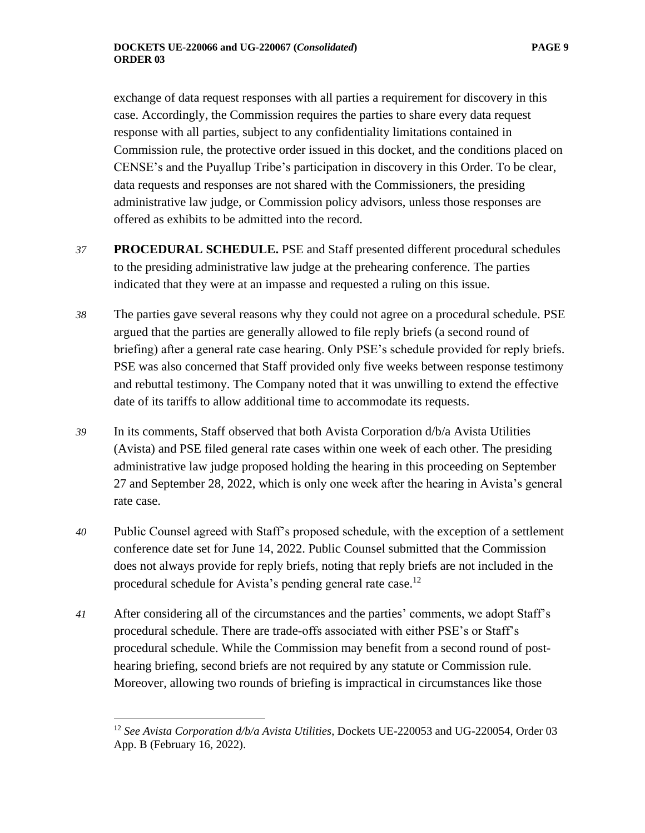exchange of data request responses with all parties a requirement for discovery in this case. Accordingly, the Commission requires the parties to share every data request response with all parties, subject to any confidentiality limitations contained in Commission rule, the protective order issued in this docket, and the conditions placed on CENSE's and the Puyallup Tribe's participation in discovery in this Order. To be clear, data requests and responses are not shared with the Commissioners, the presiding administrative law judge, or Commission policy advisors, unless those responses are offered as exhibits to be admitted into the record.

- *37* **PROCEDURAL SCHEDULE.** PSE and Staff presented different procedural schedules to the presiding administrative law judge at the prehearing conference. The parties indicated that they were at an impasse and requested a ruling on this issue.
- *38* The parties gave several reasons why they could not agree on a procedural schedule. PSE argued that the parties are generally allowed to file reply briefs (a second round of briefing) after a general rate case hearing. Only PSE's schedule provided for reply briefs. PSE was also concerned that Staff provided only five weeks between response testimony and rebuttal testimony. The Company noted that it was unwilling to extend the effective date of its tariffs to allow additional time to accommodate its requests.
- *39* In its comments, Staff observed that both Avista Corporation d/b/a Avista Utilities (Avista) and PSE filed general rate cases within one week of each other. The presiding administrative law judge proposed holding the hearing in this proceeding on September 27 and September 28, 2022, which is only one week after the hearing in Avista's general rate case.
- *40* Public Counsel agreed with Staff's proposed schedule, with the exception of a settlement conference date set for June 14, 2022. Public Counsel submitted that the Commission does not always provide for reply briefs, noting that reply briefs are not included in the procedural schedule for Avista's pending general rate case.<sup>12</sup>
- *41* After considering all of the circumstances and the parties' comments, we adopt Staff's procedural schedule. There are trade-offs associated with either PSE's or Staff's procedural schedule. While the Commission may benefit from a second round of posthearing briefing, second briefs are not required by any statute or Commission rule. Moreover, allowing two rounds of briefing is impractical in circumstances like those

<sup>12</sup> *See Avista Corporation d/b/a Avista Utilities*, Dockets UE-220053 and UG-220054, Order 03 App. B (February 16, 2022).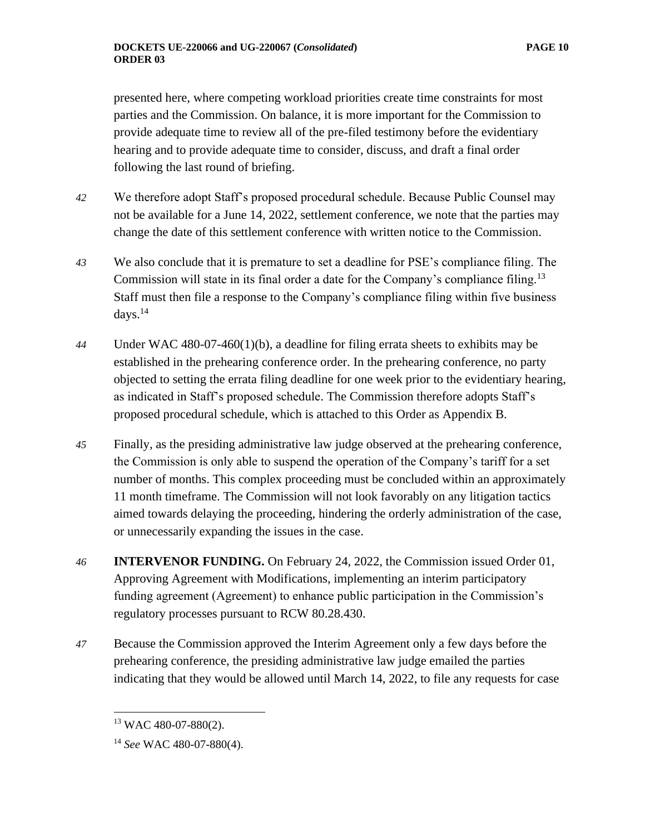presented here, where competing workload priorities create time constraints for most parties and the Commission. On balance, it is more important for the Commission to provide adequate time to review all of the pre-filed testimony before the evidentiary hearing and to provide adequate time to consider, discuss, and draft a final order following the last round of briefing.

- *42* We therefore adopt Staff's proposed procedural schedule. Because Public Counsel may not be available for a June 14, 2022, settlement conference, we note that the parties may change the date of this settlement conference with written notice to the Commission.
- *43* We also conclude that it is premature to set a deadline for PSE's compliance filing. The Commission will state in its final order a date for the Company's compliance filing.<sup>13</sup> Staff must then file a response to the Company's compliance filing within five business days. $^{14}$
- *44* Under WAC 480-07-460(1)(b), a deadline for filing errata sheets to exhibits may be established in the prehearing conference order. In the prehearing conference, no party objected to setting the errata filing deadline for one week prior to the evidentiary hearing, as indicated in Staff's proposed schedule. The Commission therefore adopts Staff's proposed procedural schedule, which is attached to this Order as Appendix B.
- *45* Finally, as the presiding administrative law judge observed at the prehearing conference, the Commission is only able to suspend the operation of the Company's tariff for a set number of months. This complex proceeding must be concluded within an approximately 11 month timeframe. The Commission will not look favorably on any litigation tactics aimed towards delaying the proceeding, hindering the orderly administration of the case, or unnecessarily expanding the issues in the case.
- *46* **INTERVENOR FUNDING.** On February 24, 2022, the Commission issued Order 01, Approving Agreement with Modifications, implementing an interim participatory funding agreement (Agreement) to enhance public participation in the Commission's regulatory processes pursuant to RCW 80.28.430.
- *47* Because the Commission approved the Interim Agreement only a few days before the prehearing conference, the presiding administrative law judge emailed the parties indicating that they would be allowed until March 14, 2022, to file any requests for case

<sup>13</sup> WAC 480-07-880(2).

<sup>14</sup> *See* WAC 480-07-880(4).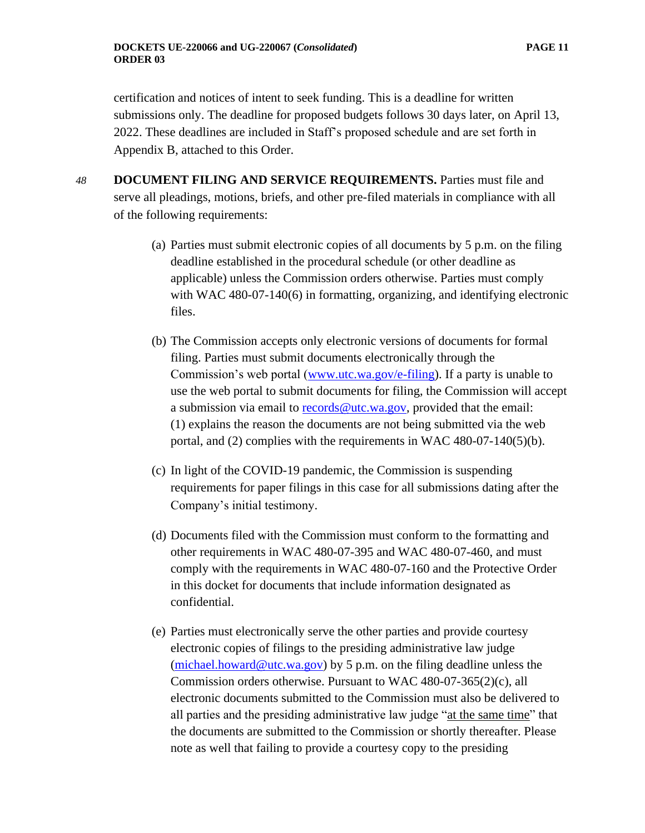certification and notices of intent to seek funding. This is a deadline for written submissions only. The deadline for proposed budgets follows 30 days later, on April 13, 2022. These deadlines are included in Staff's proposed schedule and are set forth in Appendix B, attached to this Order.

- *48* **DOCUMENT FILING AND SERVICE REQUIREMENTS.** Parties must file and serve all pleadings, motions, briefs, and other pre-filed materials in compliance with all of the following requirements:
	- (a) Parties must submit electronic copies of all documents by 5 p.m. on the filing deadline established in the procedural schedule (or other deadline as applicable) unless the Commission orders otherwise. Parties must comply with WAC 480-07-140(6) in formatting, organizing, and identifying electronic files.
	- (b) The Commission accepts only electronic versions of documents for formal filing. Parties must submit documents electronically through the Commission's web portal [\(www.utc.wa.gov/e-filing\)](http://www.utc.wa.gov/e-filing). If a party is unable to use the web portal to submit documents for filing, the Commission will accept a submission via email to [records@utc.wa.gov,](mailto:records@utc.wa.gov) provided that the email: (1) explains the reason the documents are not being submitted via the web portal, and (2) complies with the requirements in WAC 480-07-140(5)(b).
	- (c) In light of the COVID-19 pandemic, the Commission is suspending requirements for paper filings in this case for all submissions dating after the Company's initial testimony.
	- (d) Documents filed with the Commission must conform to the formatting and other requirements in WAC 480-07-395 and WAC 480-07-460, and must comply with the requirements in WAC 480-07-160 and the Protective Order in this docket for documents that include information designated as confidential.
	- (e) Parties must electronically serve the other parties and provide courtesy electronic copies of filings to the presiding administrative law judge [\(michael.howard@utc.wa.gov\)](mailto:michael.howard@utc.wa.gov) by 5 p.m. on the filing deadline unless the Commission orders otherwise. Pursuant to WAC 480-07-365(2)(c), all electronic documents submitted to the Commission must also be delivered to all parties and the presiding administrative law judge "at the same time" that the documents are submitted to the Commission or shortly thereafter. Please note as well that failing to provide a courtesy copy to the presiding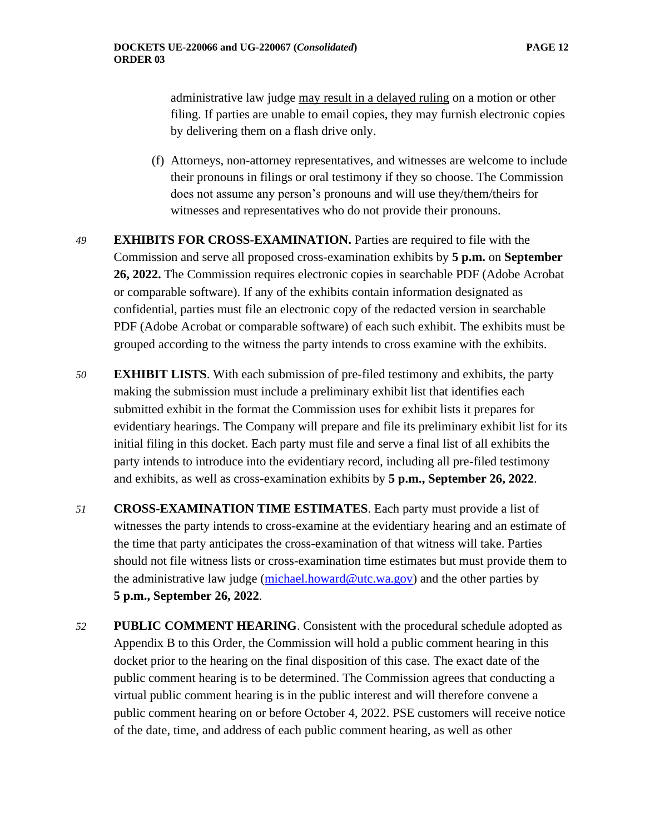administrative law judge may result in a delayed ruling on a motion or other filing. If parties are unable to email copies, they may furnish electronic copies by delivering them on a flash drive only.

- (f) Attorneys, non-attorney representatives, and witnesses are welcome to include their pronouns in filings or oral testimony if they so choose. The Commission does not assume any person's pronouns and will use they/them/theirs for witnesses and representatives who do not provide their pronouns.
- *49* **EXHIBITS FOR CROSS-EXAMINATION.** Parties are required to file with the Commission and serve all proposed cross-examination exhibits by **5 p.m.** on **September 26, 2022.** The Commission requires electronic copies in searchable PDF (Adobe Acrobat or comparable software). If any of the exhibits contain information designated as confidential, parties must file an electronic copy of the redacted version in searchable PDF (Adobe Acrobat or comparable software) of each such exhibit. The exhibits must be grouped according to the witness the party intends to cross examine with the exhibits.
- *50* **EXHIBIT LISTS**. With each submission of pre-filed testimony and exhibits, the party making the submission must include a preliminary exhibit list that identifies each submitted exhibit in the format the Commission uses for exhibit lists it prepares for evidentiary hearings. The Company will prepare and file its preliminary exhibit list for its initial filing in this docket. Each party must file and serve a final list of all exhibits the party intends to introduce into the evidentiary record, including all pre-filed testimony and exhibits, as well as cross-examination exhibits by **5 p.m., September 26, 2022**.
- *51* **CROSS-EXAMINATION TIME ESTIMATES**. Each party must provide a list of witnesses the party intends to cross-examine at the evidentiary hearing and an estimate of the time that party anticipates the cross-examination of that witness will take. Parties should not file witness lists or cross-examination time estimates but must provide them to the administrative law judge [\(michael.howard@utc.wa.gov\)](mailto:michael.howard@utc.wa.gov) and the other parties by **5 p.m., September 26, 2022**.
- *52* **PUBLIC COMMENT HEARING**. Consistent with the procedural schedule adopted as Appendix B to this Order, the Commission will hold a public comment hearing in this docket prior to the hearing on the final disposition of this case. The exact date of the public comment hearing is to be determined. The Commission agrees that conducting a virtual public comment hearing is in the public interest and will therefore convene a public comment hearing on or before October 4, 2022. PSE customers will receive notice of the date, time, and address of each public comment hearing, as well as other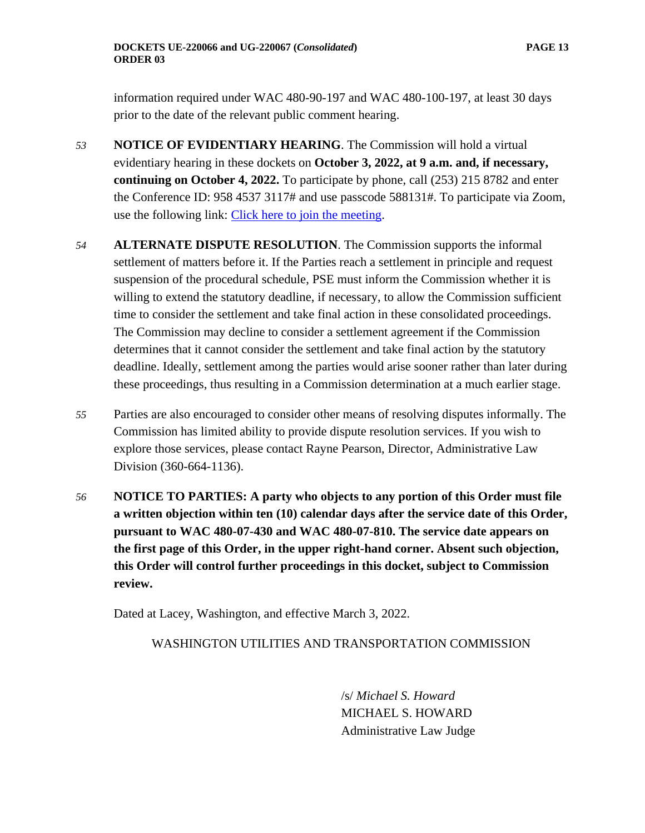information required under WAC 480-90-197 and WAC 480-100-197, at least 30 days prior to the date of the relevant public comment hearing.

- *53* **NOTICE OF EVIDENTIARY HEARING**. The Commission will hold a virtual evidentiary hearing in these dockets on **October 3, 2022, at 9 a.m. and, if necessary, continuing on October 4, 2022.** To participate by phone, call (253) 215 8782 and enter the Conference ID: 958 4537 3117# and use passcode 588131#. To participate via Zoom, use the following link: [Click here to join the meeting.](https://utc-wa-gov.zoom.us/j/95845373117?pwd=aWp5WllNQVBvYnVZNllJd3lsWWM5QT09)
- *54* **ALTERNATE DISPUTE RESOLUTION**. The Commission supports the informal settlement of matters before it. If the Parties reach a settlement in principle and request suspension of the procedural schedule, PSE must inform the Commission whether it is willing to extend the statutory deadline, if necessary, to allow the Commission sufficient time to consider the settlement and take final action in these consolidated proceedings. The Commission may decline to consider a settlement agreement if the Commission determines that it cannot consider the settlement and take final action by the statutory deadline. Ideally, settlement among the parties would arise sooner rather than later during these proceedings, thus resulting in a Commission determination at a much earlier stage.
- *55* Parties are also encouraged to consider other means of resolving disputes informally. The Commission has limited ability to provide dispute resolution services. If you wish to explore those services, please contact Rayne Pearson, Director, Administrative Law Division (360-664-1136).
- *56* **NOTICE TO PARTIES: A party who objects to any portion of this Order must file a written objection within ten (10) calendar days after the service date of this Order, pursuant to WAC 480-07-430 and WAC 480-07-810. The service date appears on the first page of this Order, in the upper right-hand corner. Absent such objection, this Order will control further proceedings in this docket, subject to Commission review.**

Dated at Lacey, Washington, and effective March 3, 2022.

## WASHINGTON UTILITIES AND TRANSPORTATION COMMISSION

/s/ *Michael S. Howard* MICHAEL S. HOWARD Administrative Law Judge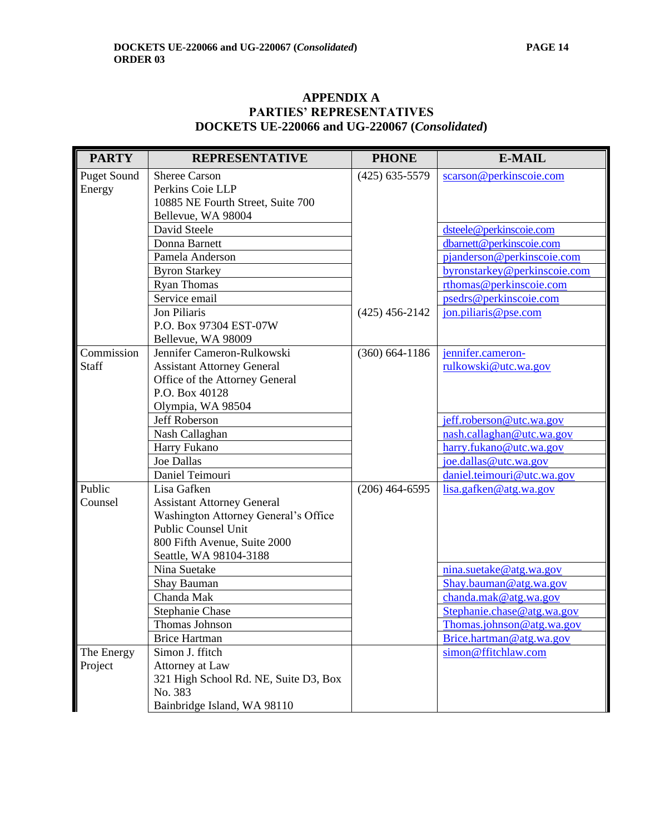## **APPENDIX A PARTIES' REPRESENTATIVES DOCKETS UE-220066 and UG-220067 (***Consolidated***)**

| <b>PARTY</b>       | <b>REPRESENTATIVE</b>                 | <b>PHONE</b>       | <b>E-MAIL</b>                |
|--------------------|---------------------------------------|--------------------|------------------------------|
| <b>Puget Sound</b> | <b>Sheree Carson</b>                  | $(425)$ 635-5579   | scarson@perkinscoie.com      |
| Energy             | Perkins Coie LLP                      |                    |                              |
|                    | 10885 NE Fourth Street, Suite 700     |                    |                              |
|                    | Bellevue, WA 98004                    |                    |                              |
|                    | David Steele                          |                    | dsteele@perkinscoie.com      |
|                    | Donna Barnett                         |                    | dbarnett@perkinscoie.com     |
|                    | Pamela Anderson                       |                    | pjanderson@perkinscoie.com   |
|                    | <b>Byron Starkey</b>                  |                    | byronstarkey@perkinscoie.com |
|                    | <b>Ryan Thomas</b>                    |                    | rthomas@perkinscoie.com      |
|                    | Service email                         |                    | psedrs@perkinscoie.com       |
|                    | Jon Piliaris                          | $(425)$ 456-2142   | jon.piliaris@pse.com         |
|                    | P.O. Box 97304 EST-07W                |                    |                              |
|                    | Bellevue, WA 98009                    |                    |                              |
| Commission         | Jennifer Cameron-Rulkowski            | $(360) 664 - 1186$ | jennifer.cameron-            |
| Staff              | <b>Assistant Attorney General</b>     |                    | rulkowski@utc.wa.gov         |
|                    | Office of the Attorney General        |                    |                              |
|                    | P.O. Box 40128                        |                    |                              |
|                    | Olympia, WA 98504                     |                    |                              |
|                    | Jeff Roberson                         |                    | jeff.roberson@utc.wa.gov     |
|                    | Nash Callaghan                        |                    | nash.callaghan@utc.wa.gov    |
|                    | Harry Fukano                          |                    | harry.fukano@utc.wa.gov      |
|                    | <b>Joe Dallas</b>                     |                    | joe.dallas@utc.wa.gov        |
|                    | Daniel Teimouri                       |                    | daniel.teimouri@utc.wa.gov   |
| Public             | Lisa Gafken                           | $(206)$ 464-6595   | lisa.gafken@atg.wa.gov       |
| Counsel            | <b>Assistant Attorney General</b>     |                    |                              |
|                    | Washington Attorney General's Office  |                    |                              |
|                    | <b>Public Counsel Unit</b>            |                    |                              |
|                    | 800 Fifth Avenue, Suite 2000          |                    |                              |
|                    | Seattle, WA 98104-3188                |                    |                              |
|                    | Nina Suetake                          |                    | nina.suetake@atg.wa.gov      |
|                    | Shay Bauman                           |                    | Shay.bauman@atg.wa.gov       |
|                    | Chanda Mak                            |                    | chanda.mak@atg.wa.gov        |
|                    | Stephanie Chase                       |                    | Stephanie.chase@atg.wa.gov   |
|                    | Thomas Johnson                        |                    | Thomas.johnson@atg.wa.gov    |
|                    | <b>Brice Hartman</b>                  |                    | Brice.hartman@atg.wa.gov     |
| The Energy         | Simon J. ffitch                       |                    | simon@ffitchlaw.com          |
| Project            | Attorney at Law                       |                    |                              |
|                    | 321 High School Rd. NE, Suite D3, Box |                    |                              |
|                    | No. 383                               |                    |                              |
|                    | Bainbridge Island, WA 98110           |                    |                              |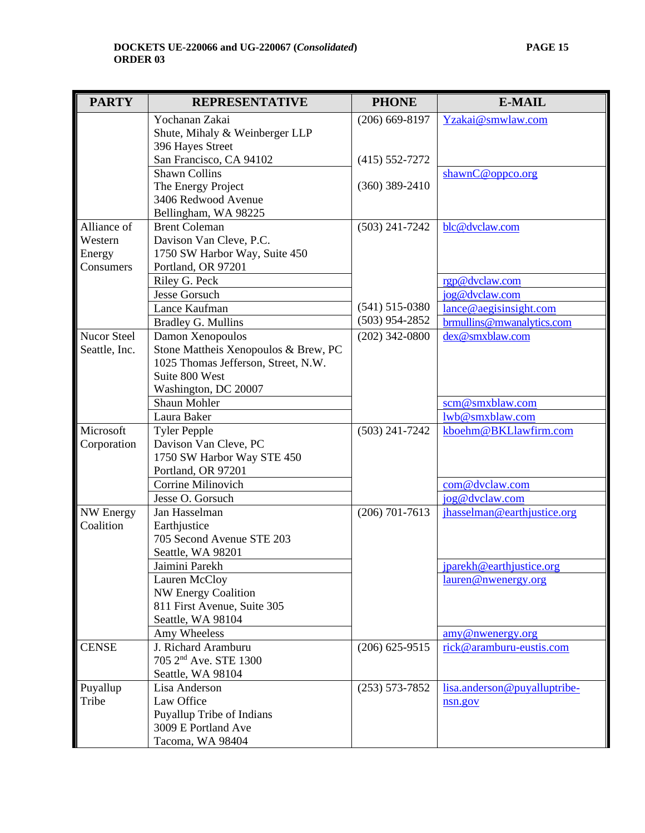| <b>PARTY</b>       | <b>REPRESENTATIVE</b>                           | <b>PHONE</b>       | <b>E-MAIL</b>                                 |
|--------------------|-------------------------------------------------|--------------------|-----------------------------------------------|
|                    | Yochanan Zakai                                  | $(206)$ 669-8197   | Yzakai@smwlaw.com                             |
|                    | Shute, Mihaly & Weinberger LLP                  |                    |                                               |
|                    | 396 Hayes Street                                |                    |                                               |
|                    | San Francisco, CA 94102                         | $(415) 552 - 7272$ |                                               |
|                    | <b>Shawn Collins</b>                            |                    | shawnC@oppco.org                              |
|                    | The Energy Project                              | $(360)$ 389-2410   |                                               |
|                    | 3406 Redwood Avenue                             |                    |                                               |
| Alliance of        | Bellingham, WA 98225                            |                    |                                               |
| Western            | <b>Brent Coleman</b><br>Davison Van Cleve, P.C. | $(503)$ 241-7242   | blc@dvclaw.com                                |
| Energy             | 1750 SW Harbor Way, Suite 450                   |                    |                                               |
| Consumers          | Portland, OR 97201                              |                    |                                               |
|                    | Riley G. Peck                                   |                    | rgp@dvclaw.com                                |
|                    | Jesse Gorsuch                                   |                    | jog@dvclaw.com                                |
|                    | Lance Kaufman                                   | $(541)$ 515-0380   | lance@aegisinsight.com                        |
|                    | <b>Bradley G. Mullins</b>                       | $(503)$ 954-2852   | brmullins@mwanalytics.com                     |
| <b>Nucor Steel</b> | Damon Xenopoulos                                | $(202)$ 342-0800   | dex@smxblaw.com                               |
| Seattle, Inc.      | Stone Mattheis Xenopoulos & Brew, PC            |                    |                                               |
|                    | 1025 Thomas Jefferson, Street, N.W.             |                    |                                               |
|                    | Suite 800 West                                  |                    |                                               |
|                    | Washington, DC 20007                            |                    |                                               |
|                    | Shaun Mohler                                    |                    | scm@smxblaw.com                               |
|                    | Laura Baker                                     |                    | lwb@smxblaw.com                               |
| Microsoft          | <b>Tyler Pepple</b>                             | $(503)$ 241-7242   | kboehm@BKLlawfirm.com                         |
| Corporation        | Davison Van Cleve, PC                           |                    |                                               |
|                    | 1750 SW Harbor Way STE 450                      |                    |                                               |
|                    | Portland, OR 97201<br>Corrine Milinovich        |                    |                                               |
|                    |                                                 |                    | com@dvclaw.com                                |
| NW Energy          | Jesse O. Gorsuch<br>Jan Hasselman               | $(206)$ 701-7613   | jog@dvclaw.com<br>jhasselman@earthjustice.org |
| Coalition          | Earthjustice                                    |                    |                                               |
|                    | 705 Second Avenue STE 203                       |                    |                                               |
|                    | Seattle, WA 98201                               |                    |                                               |
|                    | Jaimini Parekh                                  |                    | jparekh@earthjustice.org                      |
|                    | Lauren McCloy                                   |                    | lauren@nwenergy.org                           |
|                    | NW Energy Coalition                             |                    |                                               |
|                    | 811 First Avenue, Suite 305                     |                    |                                               |
|                    | Seattle, WA 98104                               |                    |                                               |
|                    | Amy Wheeless                                    |                    | amy@nwenergy.org                              |
| <b>CENSE</b>       | J. Richard Aramburu                             | $(206)$ 625-9515   | rick@aramburu-eustis.com                      |
|                    | 705 2 <sup>nd</sup> Ave. STE 1300               |                    |                                               |
|                    | Seattle, WA 98104                               |                    |                                               |
| Puyallup           | Lisa Anderson                                   | $(253) 573 - 7852$ | lisa.anderson@puyalluptribe-                  |
| Tribe              | Law Office                                      |                    | nsn.gov                                       |
|                    | Puyallup Tribe of Indians                       |                    |                                               |
|                    | 3009 E Portland Ave                             |                    |                                               |
|                    | Tacoma, WA 98404                                |                    |                                               |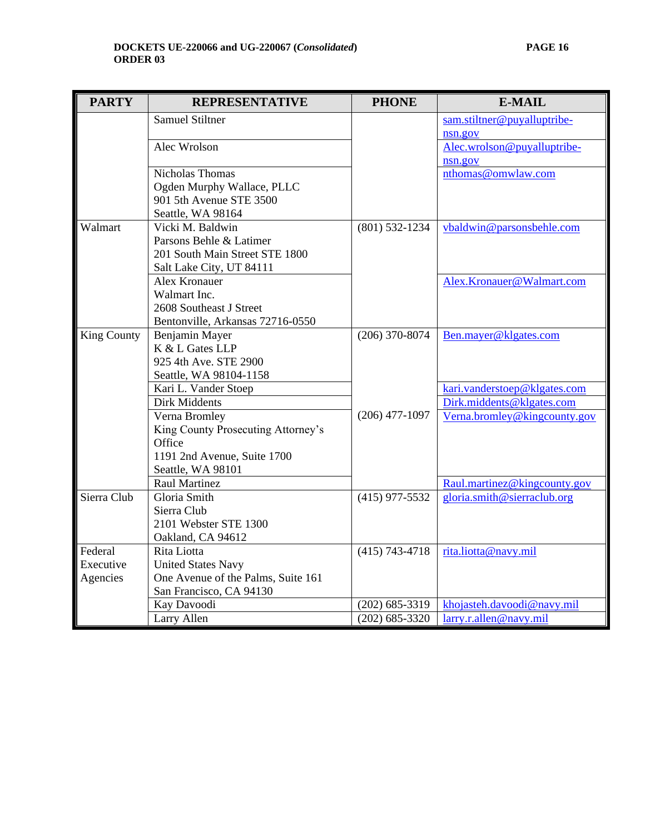| <b>PARTY</b>                     | <b>REPRESENTATIVE</b>                                                                                                              | <b>PHONE</b>       | <b>E-MAIL</b>                                             |
|----------------------------------|------------------------------------------------------------------------------------------------------------------------------------|--------------------|-----------------------------------------------------------|
|                                  | <b>Samuel Stiltner</b>                                                                                                             |                    | sam.stiltner@puyalluptribe-<br>nsn.gov                    |
|                                  | Alec Wrolson                                                                                                                       |                    | Alec.wrolson@puyalluptribe-<br>nsn.gov                    |
|                                  | <b>Nicholas Thomas</b><br>Ogden Murphy Wallace, PLLC<br>901 5th Avenue STE 3500<br>Seattle, WA 98164                               |                    | nthomas@omwlaw.com                                        |
| Walmart                          | Vicki M. Baldwin<br>Parsons Behle & Latimer<br>201 South Main Street STE 1800<br>Salt Lake City, UT 84111                          | $(801)$ 532-1234   | vbaldwin@parsonsbehle.com                                 |
|                                  | Alex Kronauer<br>Walmart Inc.<br>2608 Southeast J Street<br>Bentonville, Arkansas 72716-0550                                       |                    | Alex.Kronauer@Walmart.com                                 |
| King County                      | Benjamin Mayer<br>K & L Gates LLP<br>925 4th Ave. STE 2900<br>Seattle, WA 98104-1158                                               | $(206)$ 370-8074   | Ben.mayer@klgates.com                                     |
|                                  | Kari L. Vander Stoep                                                                                                               |                    | kari.vanderstoep@klgates.com                              |
|                                  | Dirk Middents<br>Verna Bromley<br>King County Prosecuting Attorney's<br>Office<br>1191 2nd Avenue, Suite 1700<br>Seattle, WA 98101 | $(206)$ 477-1097   | Dirk.middents@klgates.com<br>Verna.bromley@kingcounty.gov |
|                                  | <b>Raul Martinez</b>                                                                                                               |                    | Raul.martinez@kingcounty.gov                              |
| Sierra Club                      | Gloria Smith<br>Sierra Club<br>2101 Webster STE 1300<br>Oakland, CA 94612                                                          | $(415)$ 977-5532   | gloria.smith@sierraclub.org                               |
| Federal<br>Executive<br>Agencies | Rita Liotta<br><b>United States Navy</b><br>One Avenue of the Palms, Suite 161<br>San Francisco, CA 94130                          | $(415) 743 - 4718$ | rita.liotta@navy.mil                                      |
|                                  | Kay Davoodi                                                                                                                        | $(202)$ 685-3319   | khojasteh.davoodi@navy.mil                                |
|                                  | Larry Allen                                                                                                                        | $(202)$ 685-3320   | larry.r.allen@navy.mil                                    |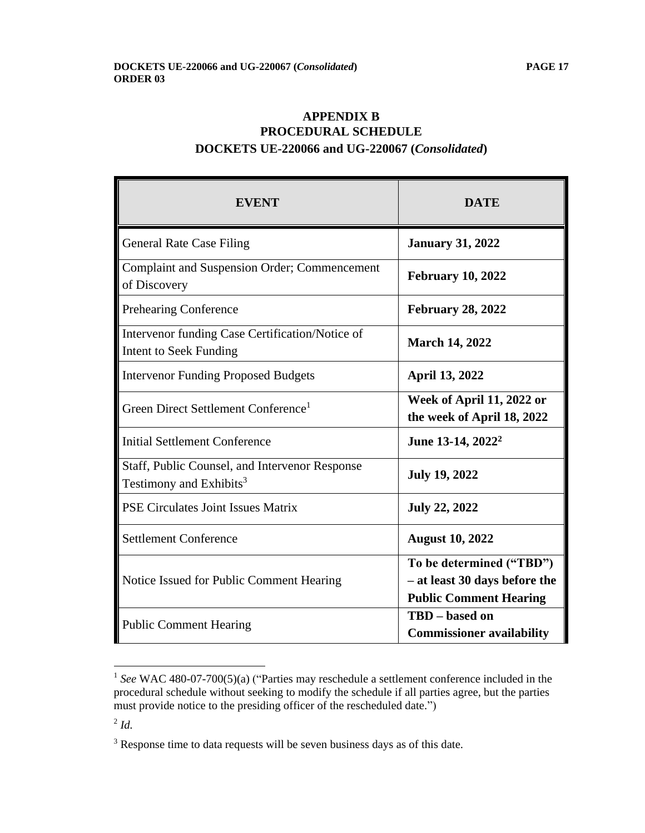# **APPENDIX B PROCEDURAL SCHEDULE DOCKETS UE-220066 and UG-220067 (***Consolidated***)**

| <b>EVENT</b>                                                                          | DATE                                                                                       |
|---------------------------------------------------------------------------------------|--------------------------------------------------------------------------------------------|
| <b>General Rate Case Filing</b>                                                       | <b>January 31, 2022</b>                                                                    |
| <b>Complaint and Suspension Order; Commencement</b><br>of Discovery                   | <b>February 10, 2022</b>                                                                   |
| <b>Prehearing Conference</b>                                                          | <b>February 28, 2022</b>                                                                   |
| Intervenor funding Case Certification/Notice of<br><b>Intent to Seek Funding</b>      | <b>March 14, 2022</b>                                                                      |
| <b>Intervenor Funding Proposed Budgets</b>                                            | April 13, 2022                                                                             |
| Green Direct Settlement Conference <sup>1</sup>                                       | Week of April 11, 2022 or<br>the week of April 18, 2022                                    |
| <b>Initial Settlement Conference</b>                                                  | June 13-14, 2022 <sup>2</sup>                                                              |
| Staff, Public Counsel, and Intervenor Response<br>Testimony and Exhibits <sup>3</sup> | <b>July 19, 2022</b>                                                                       |
| PSE Circulates Joint Issues Matrix                                                    | <b>July 22, 2022</b>                                                                       |
| <b>Settlement Conference</b>                                                          | <b>August 10, 2022</b>                                                                     |
| Notice Issued for Public Comment Hearing                                              | To be determined ("TBD")<br>- at least 30 days before the<br><b>Public Comment Hearing</b> |
| <b>Public Comment Hearing</b>                                                         | TBD – based on<br><b>Commissioner availability</b>                                         |

<sup>&</sup>lt;sup>1</sup> See WAC 480-07-700(5)(a) ("Parties may reschedule a settlement conference included in the procedural schedule without seeking to modify the schedule if all parties agree, but the parties must provide notice to the presiding officer of the rescheduled date.")

2 *Id.*

<sup>&</sup>lt;sup>3</sup> Response time to data requests will be seven business days as of this date.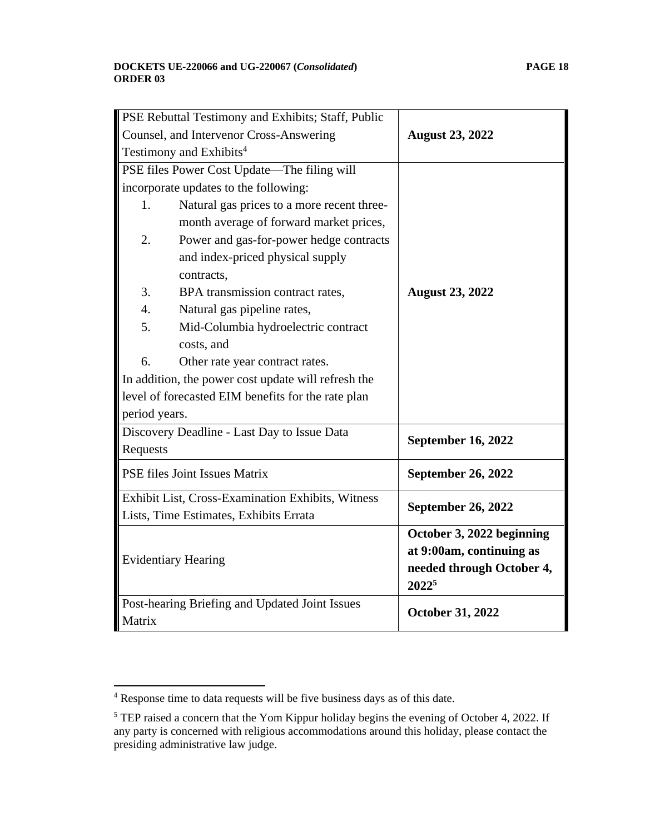| PSE Rebuttal Testimony and Exhibits; Staff, Public  |                                                    |                           |
|-----------------------------------------------------|----------------------------------------------------|---------------------------|
| Counsel, and Intervenor Cross-Answering             |                                                    | <b>August 23, 2022</b>    |
| Testimony and Exhibits <sup>4</sup>                 |                                                    |                           |
|                                                     | PSE files Power Cost Update—The filing will        |                           |
|                                                     | incorporate updates to the following:              |                           |
| 1.                                                  | Natural gas prices to a more recent three-         |                           |
|                                                     | month average of forward market prices,            |                           |
| 2.                                                  | Power and gas-for-power hedge contracts            |                           |
|                                                     | and index-priced physical supply                   |                           |
|                                                     | contracts,                                         |                           |
| 3.                                                  | BPA transmission contract rates,                   | <b>August 23, 2022</b>    |
| 4.                                                  | Natural gas pipeline rates,                        |                           |
| 5.                                                  | Mid-Columbia hydroelectric contract                |                           |
|                                                     | costs, and                                         |                           |
| 6.                                                  | Other rate year contract rates.                    |                           |
| In addition, the power cost update will refresh the |                                                    |                           |
|                                                     | level of forecasted EIM benefits for the rate plan |                           |
| period years.                                       |                                                    |                           |
| Discovery Deadline - Last Day to Issue Data         |                                                    |                           |
| Requests                                            |                                                    | <b>September 16, 2022</b> |
|                                                     | PSE files Joint Issues Matrix                      | <b>September 26, 2022</b> |
| Exhibit List, Cross-Examination Exhibits, Witness   |                                                    | <b>September 26, 2022</b> |
| Lists, Time Estimates, Exhibits Errata              |                                                    |                           |
|                                                     |                                                    | October 3, 2022 beginning |
| <b>Evidentiary Hearing</b>                          |                                                    | at 9:00am, continuing as  |
|                                                     |                                                    | needed through October 4, |
|                                                     |                                                    | 20225                     |
| Post-hearing Briefing and Updated Joint Issues      |                                                    |                           |
| Matrix                                              |                                                    | <b>October 31, 2022</b>   |

<u> 1990 - Johann Barbara, martin a</u>

<sup>4</sup> Response time to data requests will be five business days as of this date.

 $<sup>5</sup>$  TEP raised a concern that the Yom Kippur holiday begins the evening of October 4, 2022. If</sup> any party is concerned with religious accommodations around this holiday, please contact the presiding administrative law judge.